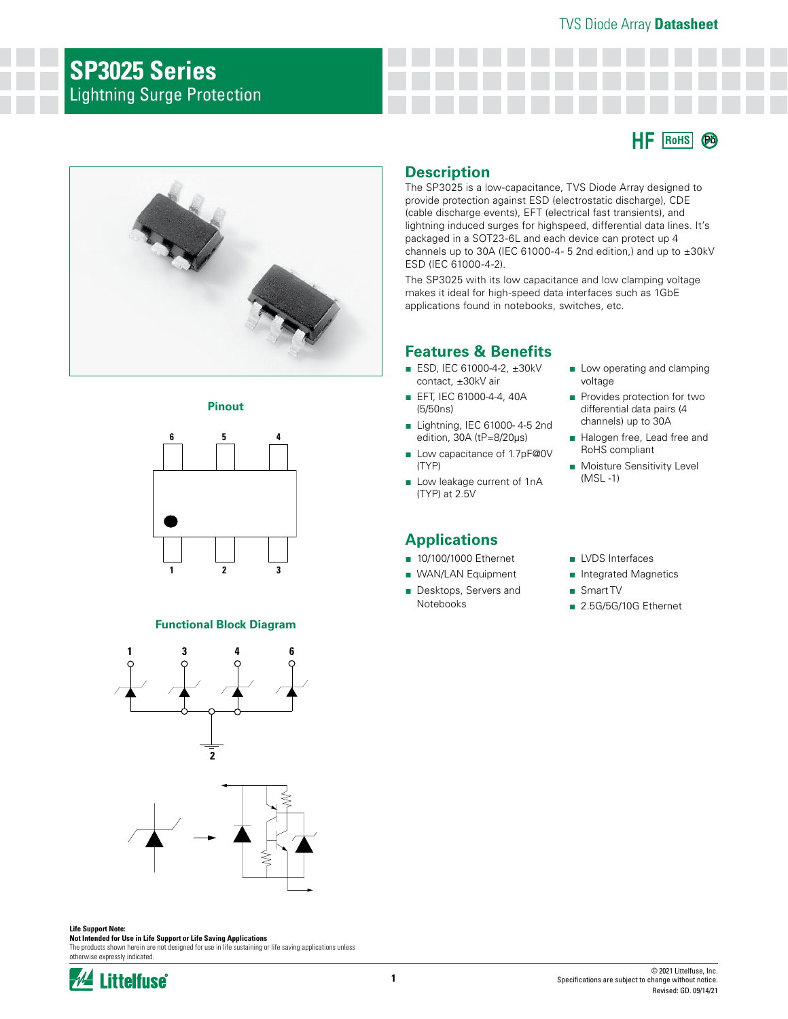## **SP3025 Series** Lightning Surge Protection

## **RoHS Pb**







#### **Functional Block Diagram**





#### **Life Support Note:**

**Not Intended for Use in Life Support or Life Saving Applications** The products shown herein are not designed for use in life sustaining or life saving applications unless

otherwise expressly indicated.



#### **Description**

The SP3025 is a low-capacitance, TVS Diode Array designed to provide protection against ESD (electrostatic discharge), CDE (cable discharge events), EFT (electrical fast transients), and lightning induced surges for highspeed, differential data lines. It's packaged in a SOT23-6L and each device can protect up 4 channels up to 30A (IEC 61000-4- 5 2nd edition,) and up to  $\pm 30$ kV ESD (IEC 61000-4-2).

The SP3025 with its low capacitance and low clamping voltage makes it ideal for high-speed data interfaces such as 1GbE applications found in notebooks, switches, etc.

#### **Features & Benefits**

- ESD, IEC 61000-4-2, ±30kV contact, ±30kV air
- EFT, IEC 61000-4-4, 40A (5/50ns)
- Lightning, IEC 61000-4-5 2nd edition, 30A (tP=8/20μs)
- Low capacitance of 1.7pF@0V (TYP)
- Low leakage current of 1nA (TYP) at 2.5V

### **Applications**

- 10/100/1000 Ethernet
- WAN/LAN Equipment
- Desktops, Servers and Notebooks
- Low operating and clamping voltage
- Provides protection for two differential data pairs (4 channels) up to 30A
- Halogen free, Lead free and RoHS compliant
- Moisture Sensitivity Level (MSL -1)
- LVDS Interfaces
- Integrated Magnetics
- Smart TV
- 2.5G/5G/10G Ethernet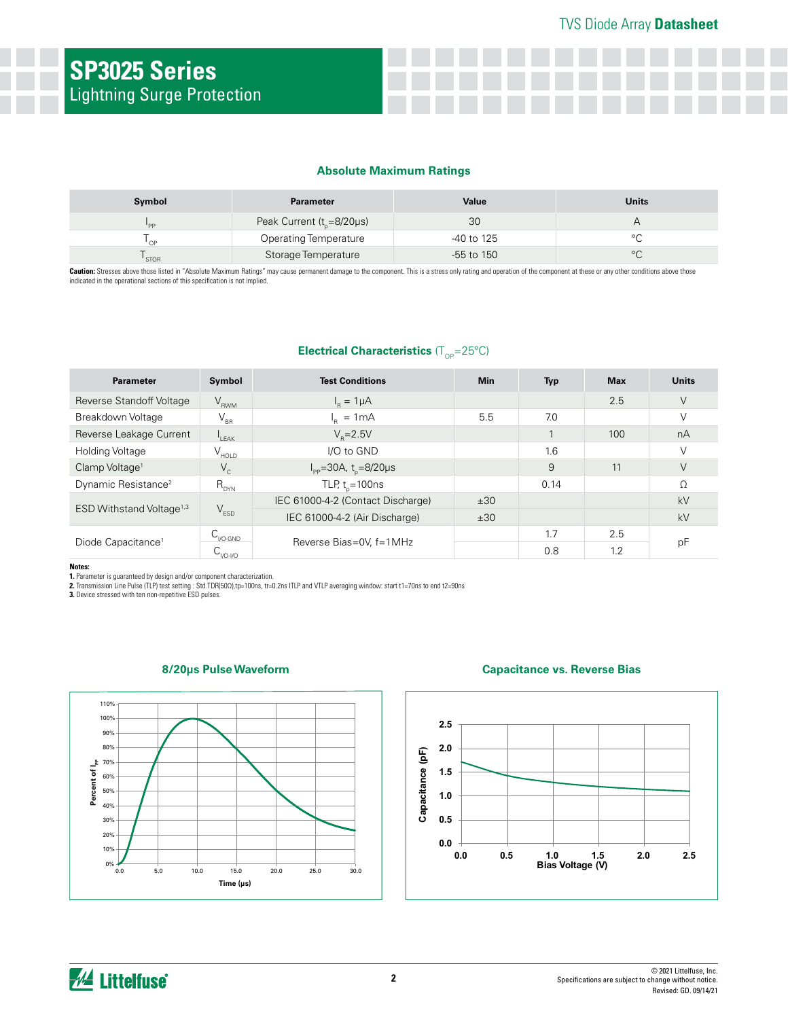#### **Absolute Maximum Ratings**

| Symbol      | <b>Parameter</b>                    | Value        | <b>Units</b> |
|-------------|-------------------------------------|--------------|--------------|
| 'PP         | Peak Current $(t_{n} = 8/20 \mu s)$ | 30           |              |
| $\bigcap$   | <b>Operating Temperature</b>        | -40 to 125   |              |
| <b>STOR</b> | Storage Temperature                 | $-55$ to 150 |              |

Caution: Stresses above those listed in "Absolute Maximum Ratings" may cause permanent damage to the component. This is a stress only rating and operation of the component at these or any other conditions above those indicated in the operational sections of this specification is not implied.

#### **Electrical Characteristics** (T<sub>OP</sub>=25°C)

| <b>Parameter</b>                     | Symbol                                    | <b>Test Conditions</b>                    | <b>Min</b> | <b>Typ</b> | <b>Max</b> | <b>Units</b> |
|--------------------------------------|-------------------------------------------|-------------------------------------------|------------|------------|------------|--------------|
| Reverse Standoff Voltage             | $V_{RWM}$                                 | $I_p = 1 \mu A$                           |            |            | 2.5        | V            |
| Breakdown Voltage                    | $V_{\rm BR}$                              | $I_n = 1mA$                               | 5.5        | 7.0        |            |              |
| Reverse Leakage Current              | $\mathsf{F}_{\mathsf{H}}$                 | $V_{p} = 2.5V$                            |            |            | 100        | nA           |
| Holding Voltage                      | $V_{HOLD}$                                | I/O to GND                                |            | 1.6        |            |              |
| Clamp Voltage <sup>1</sup>           | $V_c$                                     | $I_{\rm pp}$ =30A, t <sub>n</sub> =8/20µs |            | 9          | 11         | $\vee$       |
| Dynamic Resistance <sup>2</sup>      | $R_{DYN}$                                 | TLP, $t_{\text{e}} = 100 \text{ns}$       |            | 0.14       |            | Ω            |
| ESD Withstand Voltage <sup>1,3</sup> | $V_{ESD}$                                 | IEC 61000-4-2 (Contact Discharge)         | ±30        |            |            | kV           |
|                                      |                                           | IEC 61000-4-2 (Air Discharge)             | ±30        |            |            | kV           |
| Diode Capacitance <sup>1</sup>       | $C_{\text{IVO-GND}}$                      | Reverse Bias=0V, f=1MHz                   |            | 1.7        | 2.5        |              |
|                                      | $\mathsf{C}_{_{\mathsf{IVO}\text{-IVO}}}$ |                                           |            | 0.8        | 1.2        | рF           |

**Notes:**

1. Parameter is guaranteed by design and/or component characterization.<br>2. Transmission Line Pulse (TLP) test setting : Std.TDR(500),tp=100ns, tr=0.2ns ITLP and VTLP averaging window: start t1=70ns to end t2=90ns<br>3. Device



#### **8/20μs Pulse Waveform Capacitance vs. Reverse Bias**

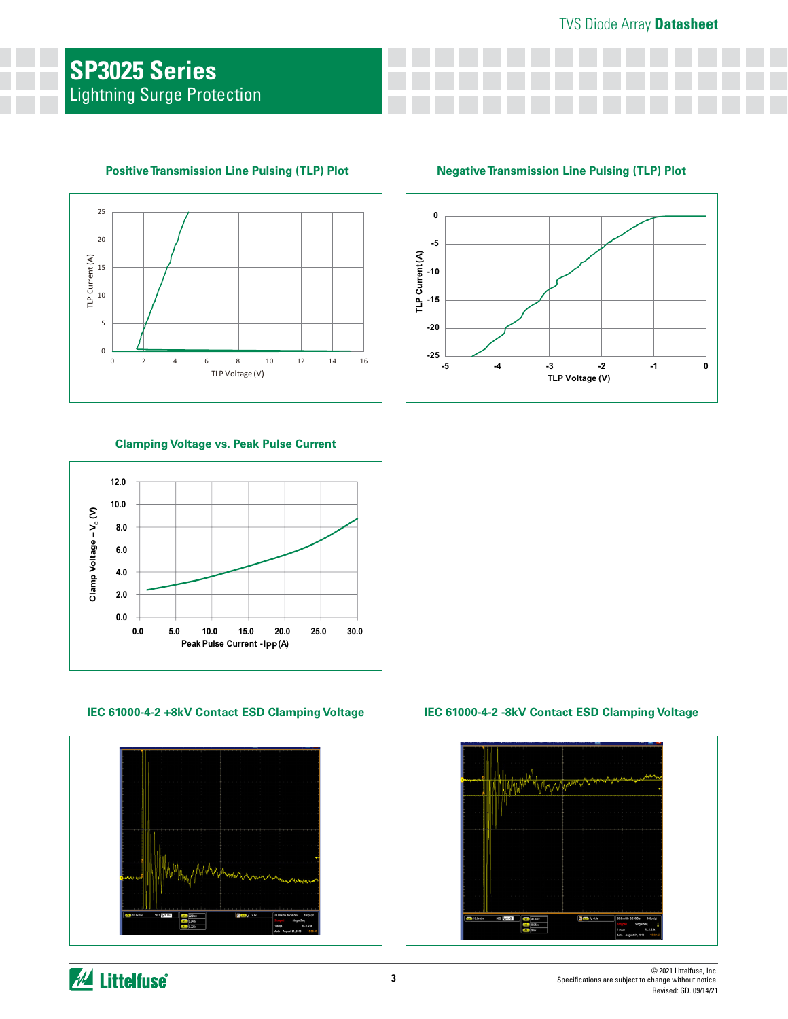

#### **Positive Transmission Line Pulsing (TLP) Plot**

#### **Negative Transmission Line Pulsing (TLP) Plot**



#### **Clamping Voltage vs. Peak Pulse Current**



#### **IEC 61000-4-2 +8kV Contact ESD Clamping Voltage IEC 61000-4-2 -8kV Contact ESD Clamping Voltage**



# 20.by<sup>8</sup> 003 **BOV**  $\frac{m}{\sigma}$

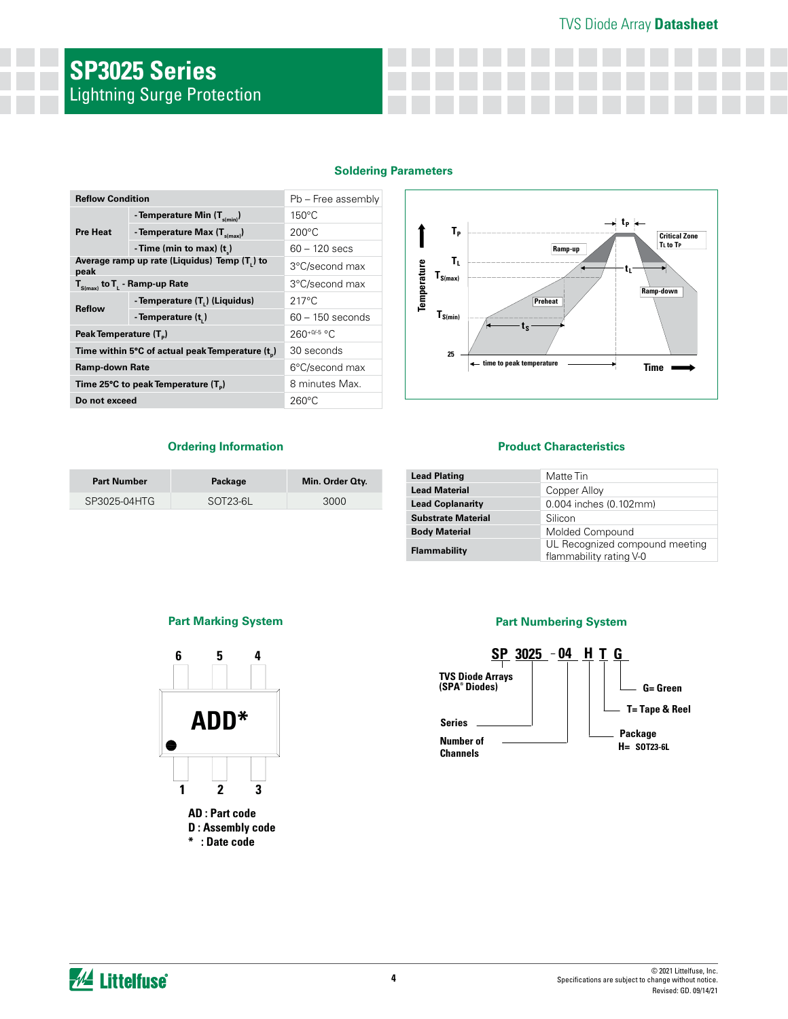#### TVS Diode Array **Datasheet**

# **SP3025 Series** Lightning Surge Protection

|  | <b>Soldering Parameters</b> |
|--|-----------------------------|
|  |                             |

| <b>Reflow Condition</b>                              | Pb - Free assembly                   |                    |  |  |
|------------------------------------------------------|--------------------------------------|--------------------|--|--|
| <b>Pre Heat</b>                                      | - Temperature Min $(T_{s(min)})$     | $150^{\circ}$ C    |  |  |
|                                                      | - Temperature Max $(T_{\text{sum}})$ | $200^{\circ}$ C    |  |  |
|                                                      | - Time (min to max) $(t_*)$          | $60 - 120$ secs    |  |  |
| Average ramp up rate (Liquidus) Temp (T,) to<br>peak |                                      | 3°C/second max     |  |  |
| $T_{\rm s(max)}$ to $T_{\rm L}$ - Ramp-up Rate       |                                      | 3°C/second max     |  |  |
| <b>Reflow</b>                                        | - Temperature (T,) (Liquidus)        | $217^{\circ}$ C    |  |  |
|                                                      | - Temperature (t)                    | $60 - 150$ seconds |  |  |
| Peak Temperature (T <sub>n</sub> )                   |                                      | $260^{+0/5}$ °C    |  |  |
| Time within 5°C of actual peak Temperature (t)       |                                      | 30 seconds         |  |  |
| <b>Ramp-down Rate</b>                                |                                      | 6°C/second max     |  |  |
| Time 25°C to peak Temperature (T <sub>a</sub> )      |                                      | 8 minutes Max.     |  |  |
| Do not exceed                                        |                                      | $260^{\circ}$ C    |  |  |
|                                                      |                                      |                    |  |  |



#### **Ordering Information**

| <b>Part Number</b> | Package               | Min. Order Qty. |
|--------------------|-----------------------|-----------------|
| SP3025-04HTG       | SOT <sub>23-6</sub> L | 3000            |

#### **Product Characteristics**

| <b>Lead Plating</b>       | Matte Tin                                                 |
|---------------------------|-----------------------------------------------------------|
| <b>Lead Material</b>      | Copper Alloy                                              |
| <b>Lead Coplanarity</b>   | 0.004 inches (0.102mm)                                    |
| <b>Substrate Material</b> | Silicon                                                   |
| <b>Body Material</b>      | Molded Compound                                           |
| Flammability              | UL Recognized compound meeting<br>flammability rating V-0 |

#### **Part Marking System Part Numbering System**



**AD : Part code D : Assembly code \* : Date code**